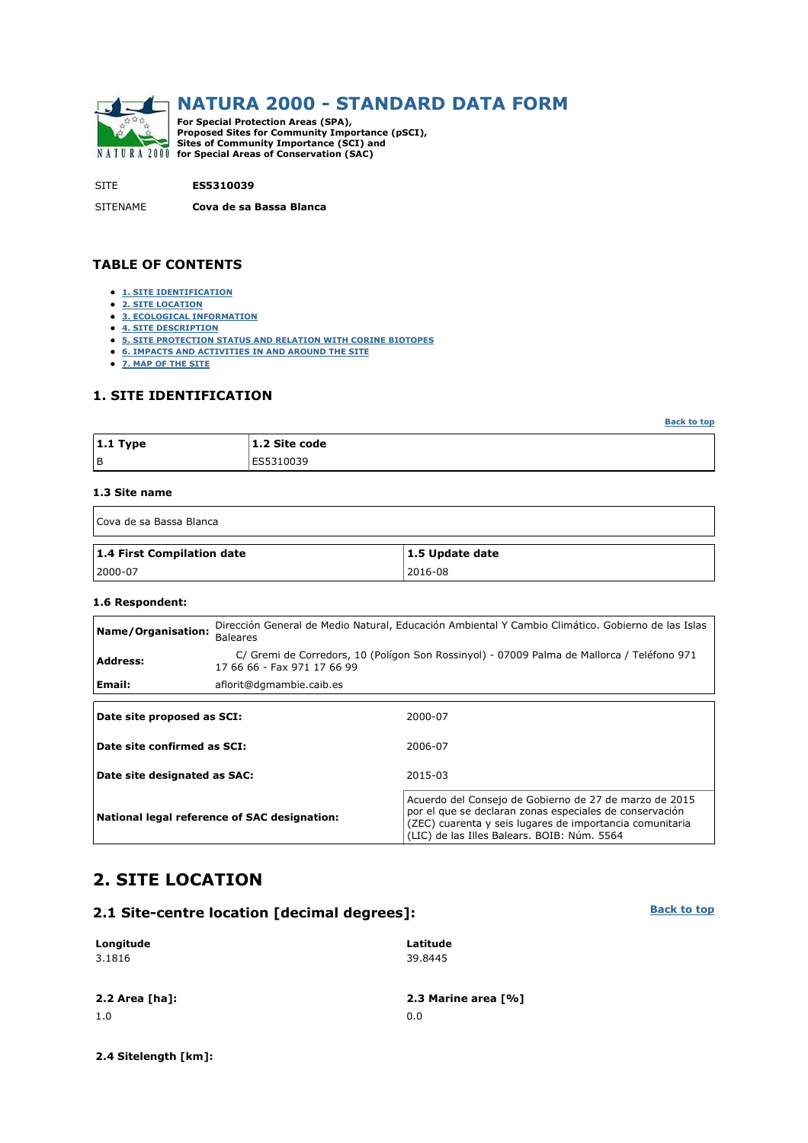

## **NATURA 2000 - STANDARD DATA FORM**

**For Special Protection Areas (SPA), Proposed Sites for Community Importance (pSCI), Sites of Community Importance (SCI) and for Special Areas of Conservation (SAC)** 

SITE **ES5310039**

SITENAME **Cova de sa Bassa Blanca**

#### **TABLE OF CONTENTS**

- **1. SITE IDENTIFICATION**
- **2. SITE LOCATION**
- **3. ECOLOGICAL INFORMATION**
- **4. SITE DESCRIPTION**
- **5. SITE PROTECTION STATUS AND RELATION WITH CORINE BIOTOPES**
- **6. IMPACTS AND ACTIVITIES IN AND AROUND THE SITE**
- **7. MAP OF THE SITE**

#### **1. SITE IDENTIFICATION**

**Back to top**

| $\vert$ 1.1 Type | .1.2 Site code |
|------------------|----------------|
| l B              | ES5310039      |

#### **1.3 Site name**

| Cova de sa Bassa Blanca    |                 |  |  |  |  |
|----------------------------|-----------------|--|--|--|--|
| 1.4 First Compilation date | 1.5 Update date |  |  |  |  |
| 2000-07                    | 2016-08         |  |  |  |  |

## **1.6 Respondent:**

| Name/Organisation:           | Dirección General de Medio Natural, Educación Ambiental Y Cambio Climático. Gobierno de las Islas<br><b>Baleares</b> |                                                                                                                                                                               |  |  |  |  |
|------------------------------|----------------------------------------------------------------------------------------------------------------------|-------------------------------------------------------------------------------------------------------------------------------------------------------------------------------|--|--|--|--|
| <b>Address:</b>              | 17 66 66 - Fax 971 17 66 99                                                                                          | C/ Gremi de Corredors, 10 (Polígon Son Rossinyol) - 07009 Palma de Mallorca / Teléfono 971                                                                                    |  |  |  |  |
| Email:                       | aflorit@dgmambie.caib.es                                                                                             |                                                                                                                                                                               |  |  |  |  |
| Date site proposed as SCI:   |                                                                                                                      | 2000-07                                                                                                                                                                       |  |  |  |  |
| Date site confirmed as SCI:  |                                                                                                                      | 2006-07                                                                                                                                                                       |  |  |  |  |
| Date site designated as SAC: |                                                                                                                      | 2015-03                                                                                                                                                                       |  |  |  |  |
|                              | National legal reference of SAC designation:                                                                         | Acuerdo del Consejo de Gobierno de 27 de marzo de 2015<br>por el que se declaran zonas especiales de conservación<br>(ZEC) cuarenta y seis lugares de importancia comunitaria |  |  |  |  |

**Latitude**

(LIC) de las Illes Balears. BOIB: Núm. 5564

### **2. SITE LOCATION**

# **2.1 Site-centre location [decimal degrees]:**

| 3.1816         | 39.8445             |
|----------------|---------------------|
| 2.2 Area [ha]: | 2.3 Marine area [%] |
| 1.0            | 0.0                 |

**2.4 Sitelength [km]:**

**Longitude**

**Back to top**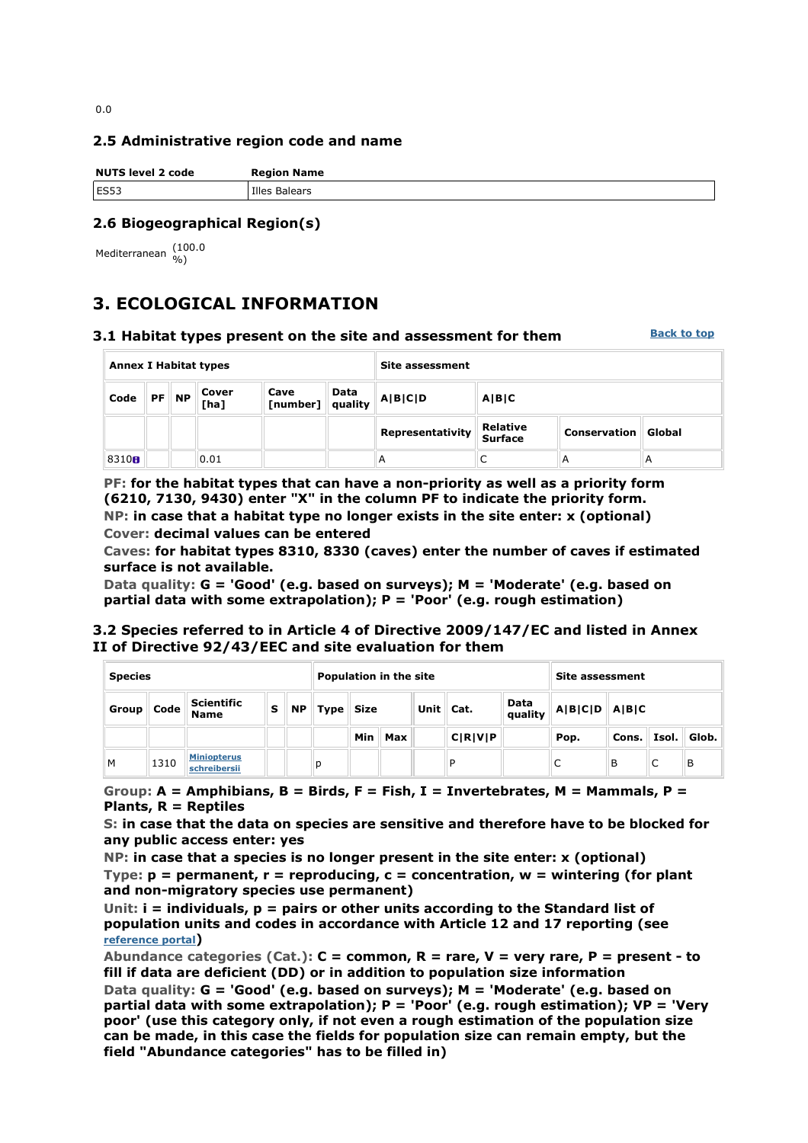#### **2.5 Administrative region code and name**

| <b>NUTS level 2 code</b> | <b>Region Name</b> |
|--------------------------|--------------------|
| ES53                     | Illes Balears      |

#### **2.6 Biogeographical Region(s)**

Mediterranean (100.0

## **3. ECOLOGICAL INFORMATION**

#### **3.1 Habitat types present on the site and assessment for them**

**Back to top**

| <b>Annex I Habitat types</b> |  |         |               | <b>Site assessment</b>   |      |                         |                                   |                     |        |  |
|------------------------------|--|---------|---------------|--------------------------|------|-------------------------|-----------------------------------|---------------------|--------|--|
| Code                         |  | $PF$ NP | Cover<br>[ha] | Cave<br>[number] quality | Data | $\ A B C D$<br>A B C    |                                   |                     |        |  |
|                              |  |         |               |                          |      | <b>Representativity</b> | <b>Relative</b><br><b>Surface</b> | <b>Conservation</b> | Global |  |
| 8310 <sub>0</sub>            |  |         | 0.01          |                          |      | $\overline{\mathsf{A}}$ |                                   | A                   | A      |  |

**PF: for the habitat types that can have a non-priority as well as a priority form (6210, 7130, 9430) enter "X" in the column PF to indicate the priority form. NP: in case that a habitat type no longer exists in the site enter: x (optional) Cover: decimal values can be entered** 

**Caves: for habitat types 8310, 8330 (caves) enter the number of caves if estimated surface is not available.** 

**Data quality: G = 'Good' (e.g. based on surveys); M = 'Moderate' (e.g. based on partial data with some extrapolation); P = 'Poor' (e.g. rough estimation)** 

#### **3.2 Species referred to in Article 4 of Directive 2009/147/EC and listed in Annex II of Directive 92/43/EEC and site evaluation for them**

| <b>Species</b> |                    |                                    |   | <b>Population in the site</b> |   |                           |         |  | <b>Site assessment</b> |                 |                                            |       |       |       |
|----------------|--------------------|------------------------------------|---|-------------------------------|---|---------------------------|---------|--|------------------------|-----------------|--------------------------------------------|-------|-------|-------|
| Group          | <sup>11</sup> Code | <b>Scientific</b><br><b>Name</b>   | s | <b>NP</b>                     |   | $\vert$ Type $\vert$ Size |         |  | Unit $\vert$ Cat.      | Data<br>quality | $\ $ A $ $ B $ $ C $ $ D $ $ A $ $ B $ $ C |       |       |       |
|                |                    |                                    |   |                               |   |                           | Min Max |  | C R V P                |                 | Pop.                                       | Cons. | Isol. | Glob. |
| M              | 1310               | <b>Miniopterus</b><br>schreibersii |   |                               | D |                           |         |  | D                      |                 | C                                          | В     | C     | В     |

**Group: A = Amphibians, B = Birds, F = Fish, I = Invertebrates, M = Mammals, P = Plants, R = Reptiles** 

**S: in case that the data on species are sensitive and therefore have to be blocked for any public access enter: yes** 

**NP: in case that a species is no longer present in the site enter: x (optional) Type: p = permanent, r = reproducing, c = concentration, w = wintering (for plant and non-migratory species use permanent)** 

**Unit: i = individuals, p = pairs or other units according to the Standard list of population units and codes in accordance with Article 12 and 17 reporting (see reference portal)** 

**Abundance categories (Cat.): C = common, R = rare, V = very rare, P = present - to fill if data are deficient (DD) or in addition to population size information Data quality: G = 'Good' (e.g. based on surveys); M = 'Moderate' (e.g. based on** 

**partial data with some extrapolation); P = 'Poor' (e.g. rough estimation); VP = 'Very poor' (use this category only, if not even a rough estimation of the population size can be made, in this case the fields for population size can remain empty, but the field "Abundance categories" has to be filled in)**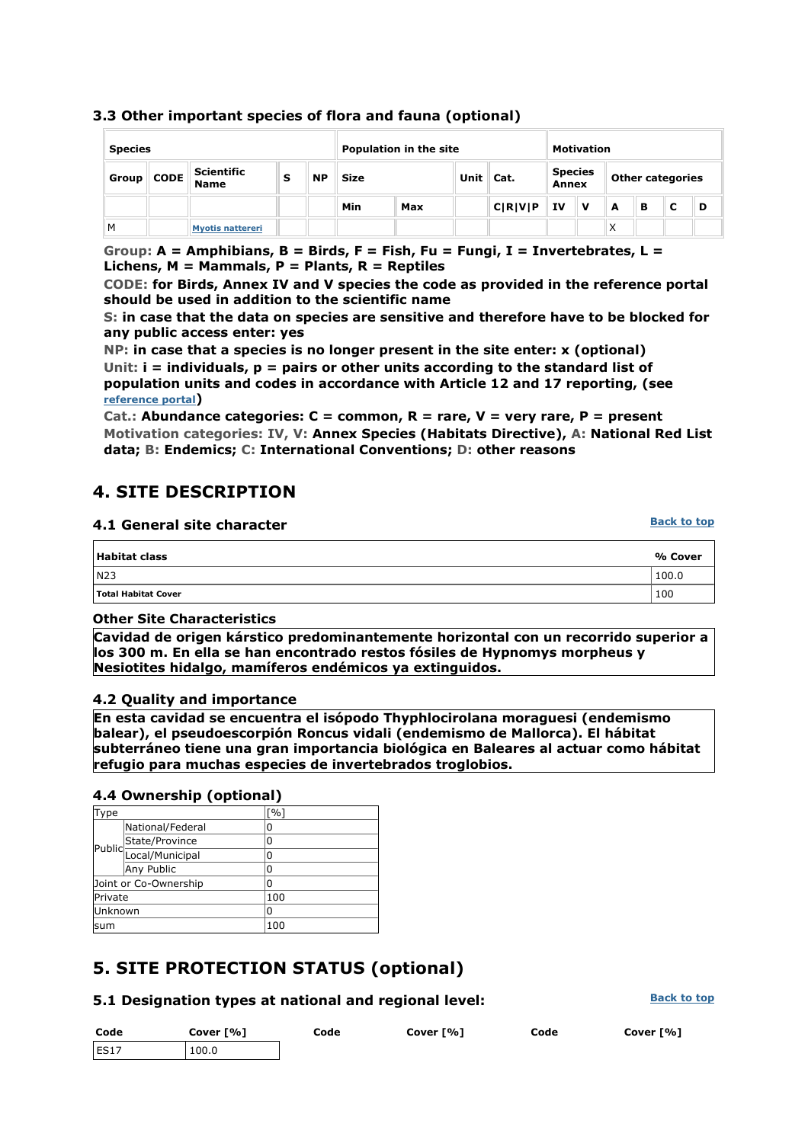#### **3.3 Other important species of flora and fauna (optional)**

| <b>Species</b> |             |                                  |   | Population in the site |             |     |  | <b>Motivation</b>        |                                |     |                         |   |  |   |
|----------------|-------------|----------------------------------|---|------------------------|-------------|-----|--|--------------------------|--------------------------------|-----|-------------------------|---|--|---|
| Group          | <b>CODE</b> | <b>Scientific</b><br><b>Name</b> | s | <b>NP</b>              | <b>Size</b> |     |  | Unit Cat.                | <b>Species</b><br><b>Annex</b> |     | <b>Other categories</b> |   |  |   |
|                |             |                                  |   |                        | Min         | Max |  | C[ <b>R</b> ] <b>V</b> ] | ΙV                             | . v | A                       | в |  | D |
| M              |             | <b>Myotis nattereri</b>          |   |                        |             |     |  |                          |                                |     | Χ                       |   |  |   |

**Group: A = Amphibians, B = Birds, F = Fish, Fu = Fungi, I = Invertebrates, L = Lichens, M = Mammals, P = Plants, R = Reptiles** 

**CODE: for Birds, Annex IV and V species the code as provided in the reference portal should be used in addition to the scientific name** 

**S: in case that the data on species are sensitive and therefore have to be blocked for any public access enter: yes** 

**NP: in case that a species is no longer present in the site enter: x (optional) Unit: i = individuals, p = pairs or other units according to the standard list of population units and codes in accordance with Article 12 and 17 reporting, (see reference portal)** 

**Cat.: Abundance categories: C = common, R = rare, V = very rare, P = present Motivation categories: IV, V: Annex Species (Habitats Directive), A: National Red List data; B: Endemics; C: International Conventions; D: other reasons** 

## **4. SITE DESCRIPTION**

#### **4.1 General site character**

| Habitat class       | % Cover |
|---------------------|---------|
| l N23               | 100.0   |
| Total Habitat Cover | 100     |

#### **Other Site Characteristics**

**Cavidad de origen kárstico predominantemente horizontal con un recorrido superior a los 300 m. En ella se han encontrado restos fósiles de Hypnomys morpheus y Nesiotites hidalgo, mamíferos endémicos ya extinguidos.**

#### **4.2 Quality and importance**

**En esta cavidad se encuentra el isópodo Thyphlocirolana moraguesi (endemismo balear), el pseudoescorpión Roncus vidali (endemismo de Mallorca). El hábitat subterráneo tiene una gran importancia biológica en Baleares al actuar como hábitat refugio para muchas especies de invertebrados troglobios.**

#### **4.4 Ownership (optional)**

| Type            |                        | $\lceil \frac{9}{6} \rceil$ |  |  |
|-----------------|------------------------|-----------------------------|--|--|
|                 | National/Federal       | 0                           |  |  |
|                 | State/Province         | 0                           |  |  |
|                 | Public Local/Municipal | 0                           |  |  |
|                 | Any Public             | 0                           |  |  |
|                 | Joint or Co-Ownership  | 0                           |  |  |
| <b>IPrivate</b> |                        | 100                         |  |  |
| lUnknown        |                        | 0                           |  |  |
| lsum            |                        | 100                         |  |  |

## **5. SITE PROTECTION STATUS (optional)**

#### **5.1 Designation types at national and regional level:**

| Code | Cover [%] | Code | Cover [%] | Code | Cover [%] |  |  |
|------|-----------|------|-----------|------|-----------|--|--|
| ES17 | 100.0     |      |           |      |           |  |  |

#### **Back to top**

#### **Back to top**